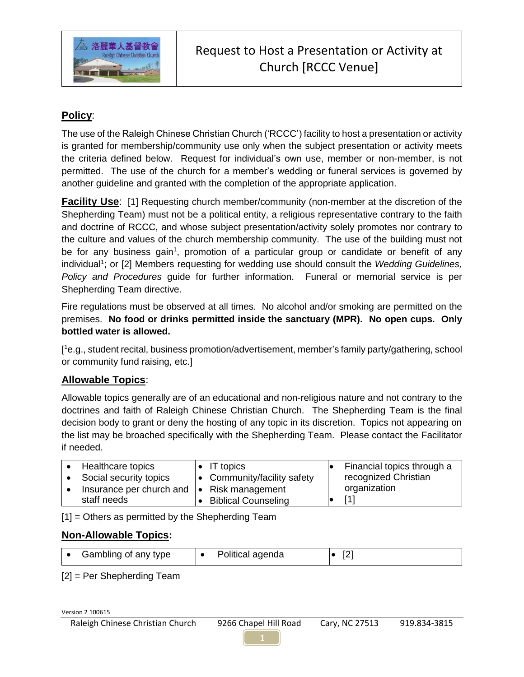

## **Policy**:

The use of the Raleigh Chinese Christian Church ('RCCC') facility to host a presentation or activity is granted for membership/community use only when the subject presentation or activity meets the criteria defined below. Request for individual's own use, member or non-member, is not permitted. The use of the church for a member's wedding or funeral services is governed by another guideline and granted with the completion of the appropriate application.

**Facility Use:** [1] Requesting church member/community (non-member at the discretion of the Shepherding Team) must not be a political entity, a religious representative contrary to the faith and doctrine of RCCC, and whose subject presentation/activity solely promotes nor contrary to the culture and values of the church membership community. The use of the building must not be for any business gain<sup>1</sup>, promotion of a particular group or candidate or benefit of any individual<sup>1</sup>; or [2] Members requesting for wedding use should consult the *Wedding Guidelines*, *Policy and Procedures* guide for further information. Funeral or memorial service is per Shepherding Team directive.

Fire regulations must be observed at all times. No alcohol and/or smoking are permitted on the premises. **No food or drinks permitted inside the sanctuary (MPR). No open cups. Only bottled water is allowed.**

[ <sup>1</sup>e.g., student recital, business promotion/advertisement, member's family party/gathering, school or community fund raising, etc.]

## **Allowable Topics**:

Allowable topics generally are of an educational and non-religious nature and not contrary to the doctrines and faith of Raleigh Chinese Christian Church. The Shepherding Team is the final decision body to grant or deny the hosting of any topic in its discretion. Topics not appearing on the list may be broached specifically with the Shepherding Team. Please contact the Facilitator if needed.

| Healthcare topics        | $\bullet$ IT topics                 | Financial topics through a |
|--------------------------|-------------------------------------|----------------------------|
| Social security topics   | $\bullet$ Community/facility safety | recognized Christian       |
| Insurance per church and | $\bullet$ Risk management           | organization               |
| staff needs              | <b>Biblical Counseling</b>          | [1]                        |

[1] = Others as permitted by the Shepherding Team

## **Non-Allowable Topics:**

| Political agenda<br>Gambling of any type |  |
|------------------------------------------|--|
|------------------------------------------|--|

[2] = Per Shepherding Team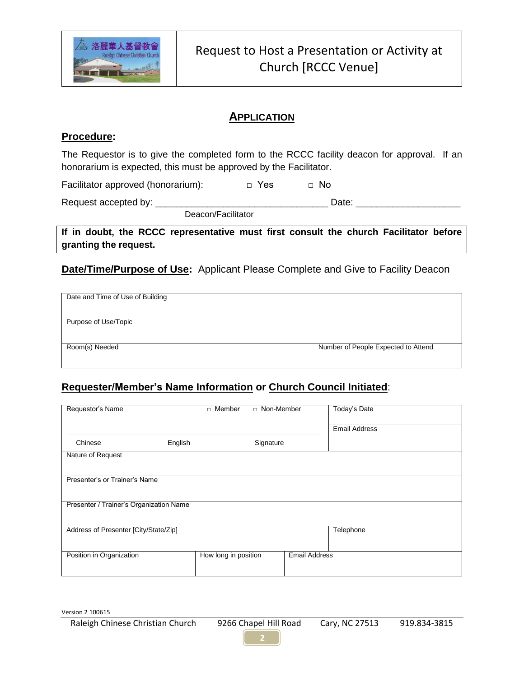

## **APPLICATION**

#### **Procedure:**

The Requestor is to give the completed form to the RCCC facility deacon for approval. If an honorarium is expected, this must be approved by the Facilitator.

Facilitator approved (honorarium): □ Yes □ No

Request accepted by: \_\_\_\_\_\_\_\_\_\_\_\_\_\_\_\_\_\_\_\_\_\_\_\_\_\_\_\_\_\_\_\_\_ Date: \_\_\_\_\_\_\_\_\_\_\_\_\_\_\_\_\_\_\_\_

Deacon/Facilitator

**If in doubt, the RCCC representative must first consult the church Facilitator before granting the request.**

**Date/Time/Purpose of Use:** Applicant Please Complete and Give to Facility Deacon

| Date and Time of Use of Building |                                     |  |  |  |  |
|----------------------------------|-------------------------------------|--|--|--|--|
|                                  |                                     |  |  |  |  |
|                                  |                                     |  |  |  |  |
|                                  |                                     |  |  |  |  |
|                                  |                                     |  |  |  |  |
|                                  |                                     |  |  |  |  |
| Purpose of Use/Topic             |                                     |  |  |  |  |
|                                  |                                     |  |  |  |  |
|                                  |                                     |  |  |  |  |
|                                  |                                     |  |  |  |  |
|                                  |                                     |  |  |  |  |
|                                  | Number of People Expected to Attend |  |  |  |  |
| Room(s) Needed                   |                                     |  |  |  |  |
|                                  |                                     |  |  |  |  |
|                                  |                                     |  |  |  |  |
|                                  |                                     |  |  |  |  |

# **Requester/Member's Name Information or Church Council Initiated**:

| Requestor's Name                        |         | Member<br>$\Box$     | □ Non-Member |                      | Today's Date         |  |  |  |
|-----------------------------------------|---------|----------------------|--------------|----------------------|----------------------|--|--|--|
|                                         |         |                      |              |                      |                      |  |  |  |
|                                         |         |                      |              |                      | <b>Email Address</b> |  |  |  |
| Chinese                                 | English |                      | Signature    |                      |                      |  |  |  |
| Nature of Request                       |         |                      |              |                      |                      |  |  |  |
|                                         |         |                      |              |                      |                      |  |  |  |
| Presenter's or Trainer's Name           |         |                      |              |                      |                      |  |  |  |
|                                         |         |                      |              |                      |                      |  |  |  |
| Presenter / Trainer's Organization Name |         |                      |              |                      |                      |  |  |  |
|                                         |         |                      |              |                      |                      |  |  |  |
| Address of Presenter [City/State/Zip]   |         |                      |              |                      | Telephone            |  |  |  |
|                                         |         |                      |              |                      |                      |  |  |  |
|                                         |         |                      |              | <b>Email Address</b> |                      |  |  |  |
| Position in Organization                |         | How long in position |              |                      |                      |  |  |  |
|                                         |         |                      |              |                      |                      |  |  |  |